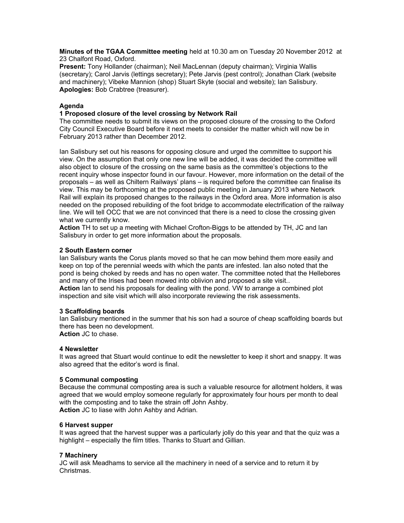**Minutes of the TGAA Committee meeting** held at 10.30 am on Tuesday 20 November 2012 at 23 Chalfont Road, Oxford.

**Present:** Tony Hollander (chairman); Neil MacLennan (deputy chairman); Virginia Wallis (secretary); Carol Jarvis (lettings secretary); Pete Jarvis (pest control); Jonathan Clark (website and machinery); Vibeke Mannion (shop) Stuart Skyte (social and website); Ian Salisbury. **Apologies:** Bob Crabtree (treasurer).

# **Agenda**

# **1 Proposed closure of the level crossing by Network Rail**

The committee needs to submit its views on the proposed closure of the crossing to the Oxford City Council Executive Board before it next meets to consider the matter which will now be in February 2013 rather than December 2012.

Ian Salisbury set out his reasons for opposing closure and urged the committee to support his view. On the assumption that only one new line will be added, it was decided the committee will also object to closure of the crossing on the same basis as the committee's objections to the recent inquiry whose inspector found in our favour. However, more information on the detail of the proposals – as well as Chiltern Railways' plans – is required before the committee can finalise its view. This may be forthcoming at the proposed public meeting in January 2013 where Network Rail will explain its proposed changes to the railways in the Oxford area. More information is also needed on the proposed rebuilding of the foot bridge to accommodate electrification of the railway line. We will tell OCC that we are not convinced that there is a need to close the crossing given what we currently know.

**Action** TH to set up a meeting with Michael Crofton-Biggs to be attended by TH, JC and Ian Salisbury in order to get more information about the proposals.

# **2 South Eastern corner**

Ian Salisbury wants the Corus plants moved so that he can mow behind them more easily and keep on top of the perennial weeds with which the pants are infested. Ian also noted that the pond is being choked by reeds and has no open water. The committee noted that the Hellebores and many of the Irises had been mowed into oblivion and proposed a site visit.. **Action** Ian to send his proposals for dealing with the pond. VW to arrange a combined plot inspection and site visit which will also incorporate reviewing the risk assessments.

# **3 Scaffolding boards**

Ian Salisbury mentioned in the summer that his son had a source of cheap scaffolding boards but there has been no development. **Action** JC to chase.

### **4 Newsletter**

It was agreed that Stuart would continue to edit the newsletter to keep it short and snappy. It was also agreed that the editor's word is final.

### **5 Communal composting**

Because the communal composting area is such a valuable resource for allotment holders, it was agreed that we would employ someone regularly for approximately four hours per month to deal with the composting and to take the strain off John Ashby. **Action** JC to liase with John Ashby and Adrian.

### **6 Harvest supper**

It was agreed that the harvest supper was a particularly jolly do this year and that the quiz was a highlight – especially the film titles. Thanks to Stuart and Gillian.

# **7 Machinery**

JC will ask Meadhams to service all the machinery in need of a service and to return it by Christmas.